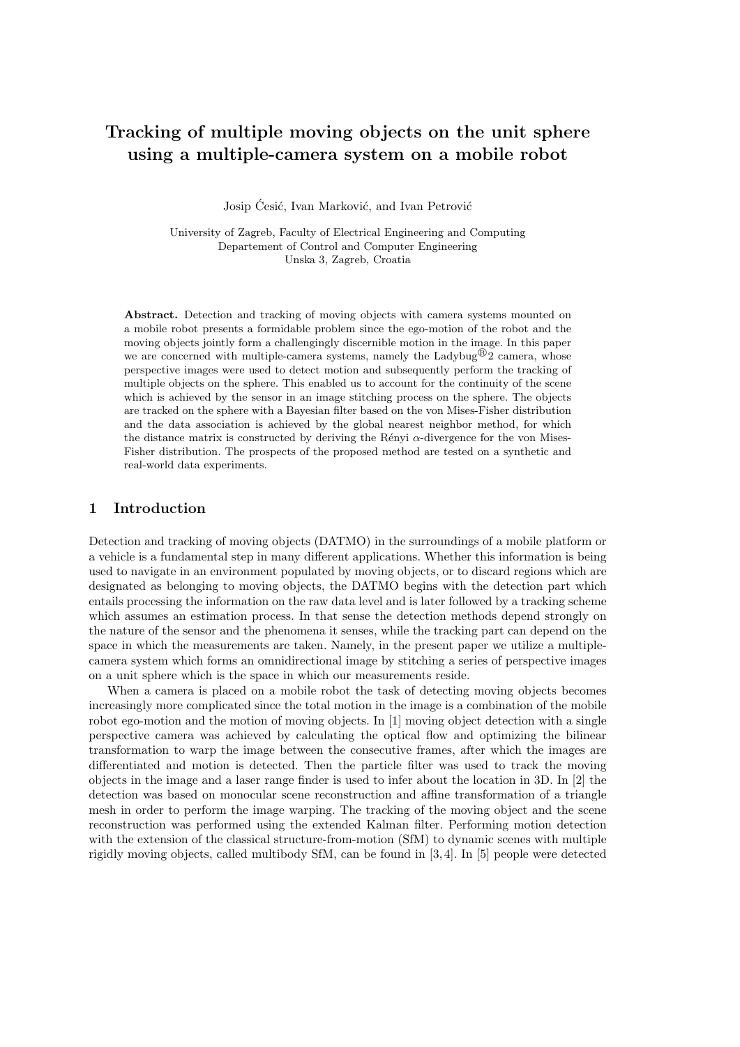# Tracking of multiple moving objects on the unit sphere using a multiple-camera system on a mobile robot

Josip Ćesić, Ivan Marković, and Ivan Petrović

University of Zagreb, Faculty of Electrical Engineering and Computing Departement of Control and Computer Engineering Unska 3, Zagreb, Croatia

Abstract. Detection and tracking of moving objects with camera systems mounted on a mobile robot presents a formidable problem since the ego-motion of the robot and the moving objects jointly form a challengingly discernible motion in the image. In this paper we are concerned with multiple-camera systems, namely the Ladybug $\mathcal{B}_2$  camera, whose perspective images were used to detect motion and subsequently perform the tracking of multiple objects on the sphere. This enabled us to account for the continuity of the scene which is achieved by the sensor in an image stitching process on the sphere. The objects are tracked on the sphere with a Bayesian filter based on the von Mises-Fisher distribution and the data association is achieved by the global nearest neighbor method, for which the distance matrix is constructed by deriving the Rényi  $\alpha$ -divergence for the von Mises-Fisher distribution. The prospects of the proposed method are tested on a synthetic and real-world data experiments.

## 1 Introduction

Detection and tracking of moving objects (DATMO) in the surroundings of a mobile platform or a vehicle is a fundamental step in many different applications. Whether this information is being used to navigate in an environment populated by moving objects, or to discard regions which are designated as belonging to moving objects, the DATMO begins with the detection part which entails processing the information on the raw data level and is later followed by a tracking scheme which assumes an estimation process. In that sense the detection methods depend strongly on the nature of the sensor and the phenomena it senses, while the tracking part can depend on the space in which the measurements are taken. Namely, in the present paper we utilize a multiplecamera system which forms an omnidirectional image by stitching a series of perspective images on a unit sphere which is the space in which our measurements reside.

When a camera is placed on a mobile robot the task of detecting moving objects becomes increasingly more complicated since the total motion in the image is a combination of the mobile robot ego-motion and the motion of moving objects. In [1] moving object detection with a single perspective camera was achieved by calculating the optical flow and optimizing the bilinear transformation to warp the image between the consecutive frames, after which the images are differentiated and motion is detected. Then the particle filter was used to track the moving objects in the image and a laser range finder is used to infer about the location in 3D. In [2] the detection was based on monocular scene reconstruction and affine transformation of a triangle mesh in order to perform the image warping. The tracking of the moving object and the scene reconstruction was performed using the extended Kalman filter. Performing motion detection with the extension of the classical structure-from-motion (SfM) to dynamic scenes with multiple rigidly moving objects, called multibody SfM, can be found in [3, 4]. In [5] people were detected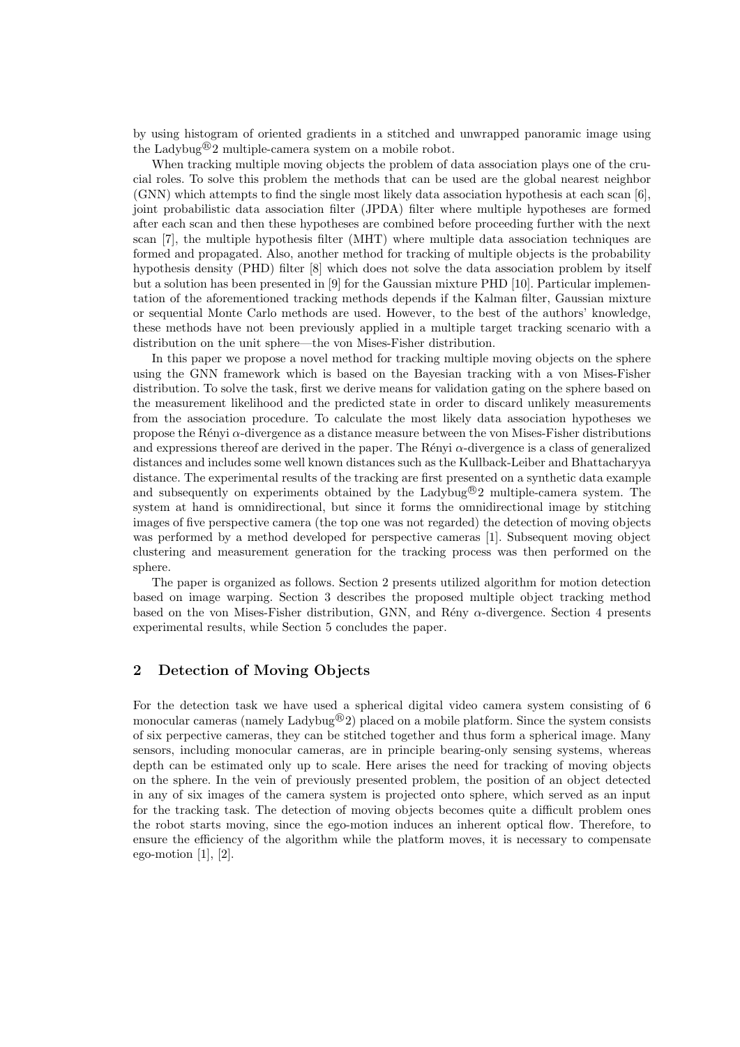by using histogram of oriented gradients in a stitched and unwrapped panoramic image using the Ladybug<sup>®</sup>2 multiple-camera system on a mobile robot.

When tracking multiple moving objects the problem of data association plays one of the crucial roles. To solve this problem the methods that can be used are the global nearest neighbor (GNN) which attempts to find the single most likely data association hypothesis at each scan [6], joint probabilistic data association filter (JPDA) filter where multiple hypotheses are formed after each scan and then these hypotheses are combined before proceeding further with the next scan [7], the multiple hypothesis filter (MHT) where multiple data association techniques are formed and propagated. Also, another method for tracking of multiple objects is the probability hypothesis density (PHD) filter [8] which does not solve the data association problem by itself but a solution has been presented in [9] for the Gaussian mixture PHD [10]. Particular implementation of the aforementioned tracking methods depends if the Kalman filter, Gaussian mixture or sequential Monte Carlo methods are used. However, to the best of the authors' knowledge, these methods have not been previously applied in a multiple target tracking scenario with a distribution on the unit sphere—the von Mises-Fisher distribution.

In this paper we propose a novel method for tracking multiple moving objects on the sphere using the GNN framework which is based on the Bayesian tracking with a von Mises-Fisher distribution. To solve the task, first we derive means for validation gating on the sphere based on the measurement likelihood and the predicted state in order to discard unlikely measurements from the association procedure. To calculate the most likely data association hypotheses we propose the Rényi  $\alpha$ -divergence as a distance measure between the von Mises-Fisher distributions and expressions thereof are derived in the paper. The Rényi  $\alpha$ -divergence is a class of generalized distances and includes some well known distances such as the Kullback-Leiber and Bhattacharyya distance. The experimental results of the tracking are first presented on a synthetic data example and subsequently on experiments obtained by the Ladybug<sup>®</sup>2 multiple-camera system. The system at hand is omnidirectional, but since it forms the omnidirectional image by stitching images of five perspective camera (the top one was not regarded) the detection of moving objects was performed by a method developed for perspective cameras [1]. Subsequent moving object clustering and measurement generation for the tracking process was then performed on the sphere.

The paper is organized as follows. Section 2 presents utilized algorithm for motion detection based on image warping. Section 3 describes the proposed multiple object tracking method based on the von Mises-Fisher distribution, GNN, and Rény  $\alpha$ -divergence. Section 4 presents experimental results, while Section 5 concludes the paper.

# 2 Detection of Moving Objects

For the detection task we have used a spherical digital video camera system consisting of 6 monocular cameras (namely Ladybug $\mathcal{L}$ ) placed on a mobile platform. Since the system consists of six perpective cameras, they can be stitched together and thus form a spherical image. Many sensors, including monocular cameras, are in principle bearing-only sensing systems, whereas depth can be estimated only up to scale. Here arises the need for tracking of moving objects on the sphere. In the vein of previously presented problem, the position of an object detected in any of six images of the camera system is projected onto sphere, which served as an input for the tracking task. The detection of moving objects becomes quite a difficult problem ones the robot starts moving, since the ego-motion induces an inherent optical flow. Therefore, to ensure the efficiency of the algorithm while the platform moves, it is necessary to compensate ego-motion  $[1]$ ,  $[2]$ .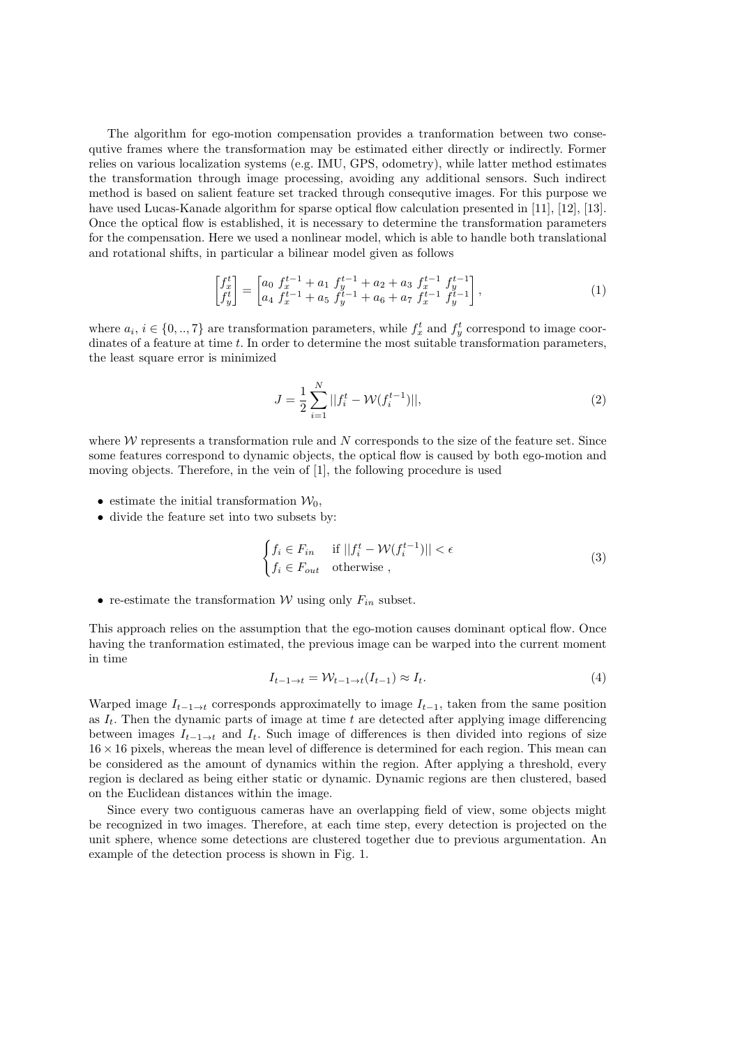The algorithm for ego-motion compensation provides a tranformation between two consequtive frames where the transformation may be estimated either directly or indirectly. Former relies on various localization systems (e.g. IMU, GPS, odometry), while latter method estimates the transformation through image processing, avoiding any additional sensors. Such indirect method is based on salient feature set tracked through consequtive images. For this purpose we have used Lucas-Kanade algorithm for sparse optical flow calculation presented in [11], [12], [13]. Once the optical flow is established, it is necessary to determine the transformation parameters for the compensation. Here we used a nonlinear model, which is able to handle both translational and rotational shifts, in particular a bilinear model given as follows

$$
\begin{bmatrix} f_x^t \\ f_y^t \end{bmatrix} = \begin{bmatrix} a_0 \ f_x^{t-1} + a_1 \ f_y^{t-1} + a_2 + a_3 \ f_x^{t-1} \ f_y^{t-1} \\ a_4 \ f_x^{t-1} + a_5 \ f_y^{t-1} + a_6 + a_7 \ f_x^{t-1} \ f_y^{t-1} \end{bmatrix},\tag{1}
$$

where  $a_i, i \in \{0, ..., 7\}$  are transformation parameters, while  $f_x^t$  and  $f_y^t$  correspond to image coordinates of a feature at time  $t$ . In order to determine the most suitable transformation parameters, the least square error is minimized

$$
J = \frac{1}{2} \sum_{i=1}^{N} ||f_i^t - \mathcal{W}(f_i^{t-1})||,
$$
\n(2)

where  $W$  represents a transformation rule and  $N$  corresponds to the size of the feature set. Since some features correspond to dynamic objects, the optical flow is caused by both ego-motion and moving objects. Therefore, in the vein of [1], the following procedure is used

- estimate the initial transformation  $\mathcal{W}_0$ ,
- divide the feature set into two subsets by:

$$
\begin{cases} f_i \in F_{in} & \text{if } ||f_i^t - \mathcal{W}(f_i^{t-1})|| < \epsilon \\ f_i \in F_{out} & \text{otherwise} \end{cases}
$$
 (3)

• re-estimate the transformation  $W$  using only  $F_{in}$  subset.

This approach relies on the assumption that the ego-motion causes dominant optical flow. Once having the tranformation estimated, the previous image can be warped into the current moment in time

$$
I_{t-1 \to t} = \mathcal{W}_{t-1 \to t}(I_{t-1}) \approx I_t.
$$
\n
$$
(4)
$$

Warped image  $I_{t-1\to t}$  corresponds approximatelly to image  $I_{t-1}$ , taken from the same position as  $I_t$ . Then the dynamic parts of image at time t are detected after applying image differencing between images  $I_{t-1\to t}$  and  $I_t$ . Such image of differences is then divided into regions of size  $16 \times 16$  pixels, whereas the mean level of difference is determined for each region. This mean can be considered as the amount of dynamics within the region. After applying a threshold, every region is declared as being either static or dynamic. Dynamic regions are then clustered, based on the Euclidean distances within the image.

Since every two contiguous cameras have an overlapping field of view, some objects might be recognized in two images. Therefore, at each time step, every detection is projected on the unit sphere, whence some detections are clustered together due to previous argumentation. An example of the detection process is shown in Fig. 1.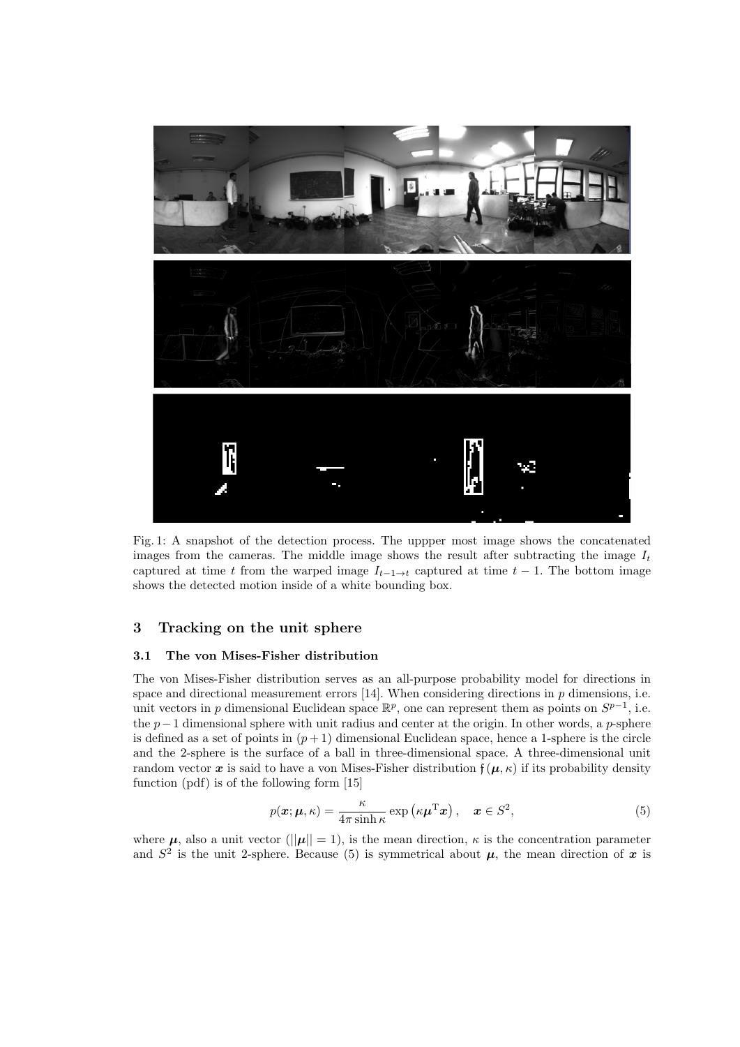

Fig. 1: A snapshot of the detection process. The uppper most image shows the concatenated images from the cameras. The middle image shows the result after subtracting the image  $I_t$ captured at time t from the warped image  $I_{t-1\to t}$  captured at time  $t-1$ . The bottom image shows the detected motion inside of a white bounding box.

# 3 Tracking on the unit sphere

## 3.1 The von Mises-Fisher distribution

The von Mises-Fisher distribution serves as an all-purpose probability model for directions in space and directional measurement errors  $[14]$ . When considering directions in p dimensions, i.e. unit vectors in p dimensional Euclidean space  $\mathbb{R}^p$ , one can represent them as points on  $S^{p-1}$ , i.e. the  $p-1$  dimensional sphere with unit radius and center at the origin. In other words, a p-sphere is defined as a set of points in  $(p+1)$  dimensional Euclidean space, hence a 1-sphere is the circle and the 2-sphere is the surface of a ball in three-dimensional space. A three-dimensional unit random vector x is said to have a von Mises-Fisher distribution  $f(\mu, \kappa)$  if its probability density function (pdf) is of the following form [15]

$$
p(\boldsymbol{x}; \boldsymbol{\mu}, \kappa) = \frac{\kappa}{4\pi \sinh \kappa} \exp\left(\kappa \boldsymbol{\mu}^{\mathrm{T}} \boldsymbol{x}\right), \quad \boldsymbol{x} \in S^2,
$$
 (5)

where  $\mu$ , also a unit vector ( $\|\mu\| = 1$ ), is the mean direction,  $\kappa$  is the concentration parameter and  $S^2$  is the unit 2-sphere. Because (5) is symmetrical about  $\mu$ , the mean direction of x is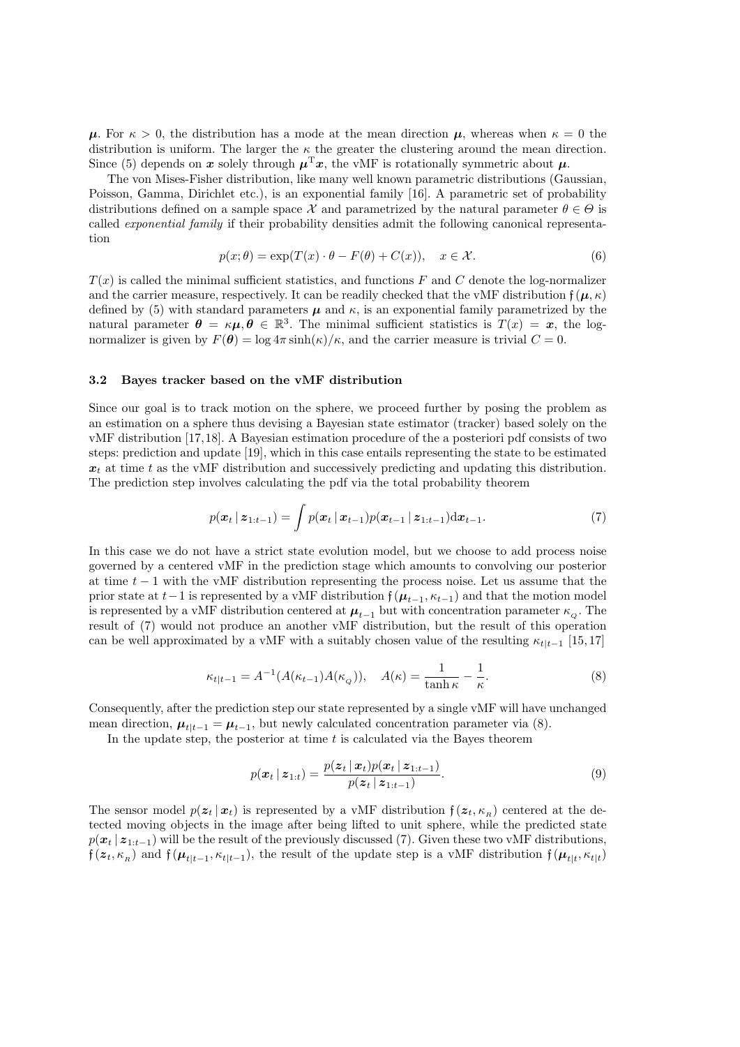$\mu$ . For  $\kappa > 0$ , the distribution has a mode at the mean direction  $\mu$ , whereas when  $\kappa = 0$  the distribution is uniform. The larger the  $\kappa$  the greater the clustering around the mean direction. Since (5) depends on x solely through  $\mu^{\mathrm{T}}x$ , the vMF is rotationally symmetric about  $\mu$ .

The von Mises-Fisher distribution, like many well known parametric distributions (Gaussian, Poisson, Gamma, Dirichlet etc.), is an exponential family [16]. A parametric set of probability distributions defined on a sample space X and parametrized by the natural parameter  $\theta \in \Theta$  is called exponential family if their probability densities admit the following canonical representation

$$
p(x; \theta) = \exp(T(x) \cdot \theta - F(\theta) + C(x)), \quad x \in \mathcal{X}.
$$
 (6)

 $T(x)$  is called the minimal sufficient statistics, and functions F and C denote the log-normalizer and the carrier measure, respectively. It can be readily checked that the vMF distribution  $f(\mu, \kappa)$ defined by (5) with standard parameters  $\mu$  and  $\kappa$ , is an exponential family parametrized by the natural parameter  $\theta = \kappa \mu, \theta \in \mathbb{R}^3$ . The minimal sufficient statistics is  $T(x) = x$ , the lognormalizer is given by  $F(\theta) = \log 4\pi \sinh(\kappa)/\kappa$ , and the carrier measure is trivial  $C = 0$ .

#### 3.2 Bayes tracker based on the vMF distribution

Since our goal is to track motion on the sphere, we proceed further by posing the problem as an estimation on a sphere thus devising a Bayesian state estimator (tracker) based solely on the vMF distribution [17,18]. A Bayesian estimation procedure of the a posteriori pdf consists of two steps: prediction and update [19], which in this case entails representing the state to be estimated  $x_t$  at time t as the vMF distribution and successively predicting and updating this distribution. The prediction step involves calculating the pdf via the total probability theorem

$$
p(\mathbf{x}_t \,|\, \mathbf{z}_{1:t-1}) = \int p(\mathbf{x}_t \,|\, \mathbf{x}_{t-1}) p(\mathbf{x}_{t-1} \,|\, \mathbf{z}_{1:t-1}) \mathrm{d}\mathbf{x}_{t-1}.\tag{7}
$$

In this case we do not have a strict state evolution model, but we choose to add process noise governed by a centered vMF in the prediction stage which amounts to convolving our posterior at time  $t - 1$  with the vMF distribution representing the process noise. Let us assume that the prior state at  $t-1$  is represented by a vMF distribution  $\mathfrak{f}(\mu_{t-1}, \kappa_{t-1})$  and that the motion model is represented by a vMF distribution centered at  $\mu_{t-1}$  but with concentration parameter  $\kappa_o$ . The result of (7) would not produce an another vMF distribution, but the result of this operation can be well approximated by a vMF with a suitably chosen value of the resulting  $\kappa_{t|t-1}$  [15, 17]

$$
\kappa_{t|t-1} = A^{-1}(A(\kappa_{t-1})A(\kappa_Q)), \quad A(\kappa) = \frac{1}{\tanh \kappa} - \frac{1}{\kappa}.
$$
 (8)

Consequently, after the prediction step our state represented by a single vMF will have unchanged mean direction,  $\mu_{t|t-1} = \mu_{t-1}$ , but newly calculated concentration parameter via (8).

In the update step, the posterior at time  $t$  is calculated via the Bayes theorem

$$
p(\boldsymbol{x}_t | \boldsymbol{z}_{1:t}) = \frac{p(\boldsymbol{z}_t | \boldsymbol{x}_t) p(\boldsymbol{x}_t | \boldsymbol{z}_{1:t-1})}{p(\boldsymbol{z}_t | \boldsymbol{z}_{1:t-1})}.
$$
\n(9)

The sensor model  $p(z_t | x_t)$  is represented by a vMF distribution  $f(z_t, \kappa_R)$  centered at the detected moving objects in the image after being lifted to unit sphere, while the predicted state  $p(x_t | z_{1:t-1})$  will be the result of the previously discussed (7). Given these two vMF distributions,  $f(z_t, \kappa_R)$  and  $f(\mu_{t|t-1}, \kappa_{t|t-1})$ , the result of the update step is a vMF distribution  $f(\mu_{t|t}, \kappa_{t|t})$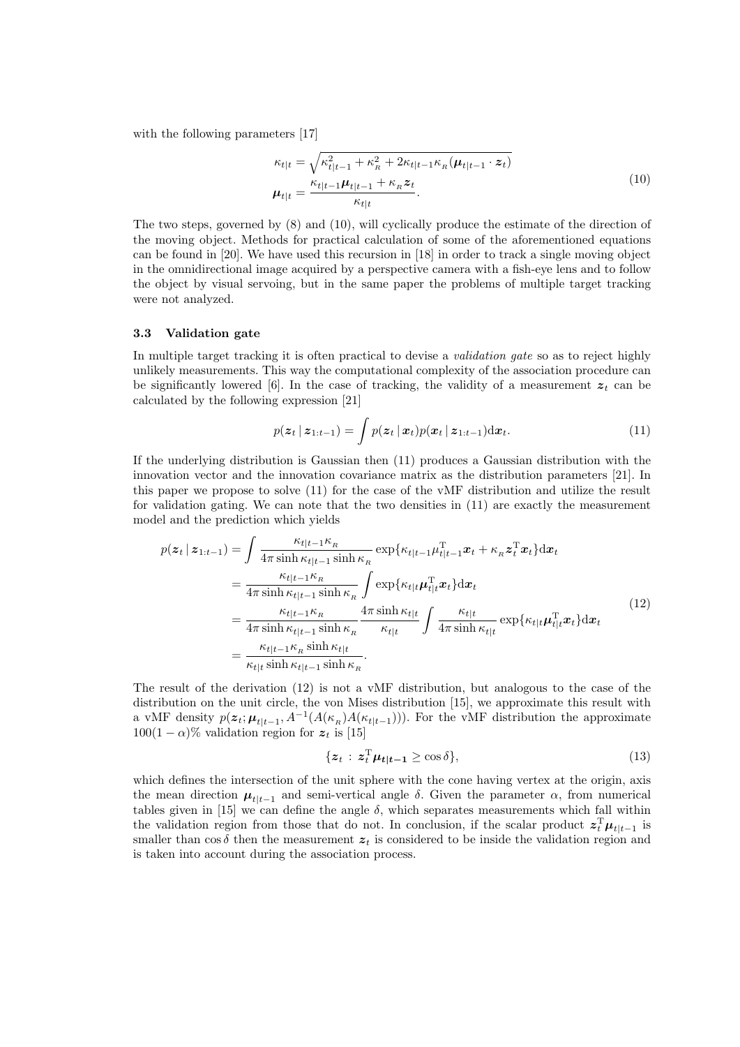with the following parameters [17]

$$
\kappa_{t|t} = \sqrt{\kappa_{t|t-1}^2 + \kappa_{R}^2 + 2\kappa_{t|t-1}\kappa_{R}(\boldsymbol{\mu}_{t|t-1} \cdot \boldsymbol{z}_t)}
$$
\n
$$
\boldsymbol{\mu}_{t|t} = \frac{\kappa_{t|t-1}\boldsymbol{\mu}_{t|t-1} + \kappa_{R}\boldsymbol{z}_t}{\kappa_{t|t}}.
$$
\n(10)

The two steps, governed by (8) and (10), will cyclically produce the estimate of the direction of the moving object. Methods for practical calculation of some of the aforementioned equations can be found in [20]. We have used this recursion in [18] in order to track a single moving object in the omnidirectional image acquired by a perspective camera with a fish-eye lens and to follow the object by visual servoing, but in the same paper the problems of multiple target tracking were not analyzed.

## 3.3 Validation gate

In multiple target tracking it is often practical to devise a *validation gate* so as to reject highly unlikely measurements. This way the computational complexity of the association procedure can be significantly lowered [6]. In the case of tracking, the validity of a measurement  $z_t$  can be calculated by the following expression [21]

$$
p(\boldsymbol{z}_t | \boldsymbol{z}_{1:t-1}) = \int p(\boldsymbol{z}_t | \boldsymbol{x}_t) p(\boldsymbol{x}_t | \boldsymbol{z}_{1:t-1}) \mathrm{d} \boldsymbol{x}_t. \tag{11}
$$

If the underlying distribution is Gaussian then (11) produces a Gaussian distribution with the innovation vector and the innovation covariance matrix as the distribution parameters [21]. In this paper we propose to solve (11) for the case of the vMF distribution and utilize the result for validation gating. We can note that the two densities in  $(11)$  are exactly the measurement model and the prediction which yields

$$
p(z_t | z_{1:t-1}) = \int \frac{\kappa_{t|t-1} \kappa_R}{4\pi \sinh \kappa_{t|t-1} \sinh \kappa_R} \exp\{\kappa_{t|t-1} \mu_{t|t-1}^{\mathrm{T}} x_t + \kappa_R z_t^{\mathrm{T}} x_t\} \mathrm{d}x_t
$$
  
\n
$$
= \frac{\kappa_{t|t-1} \kappa_R}{4\pi \sinh \kappa_{t|t-1} \sinh \kappa_R} \int \exp\{\kappa_{t|t} \mu_{t|t}^{\mathrm{T}} x_t\} \mathrm{d}x_t
$$
  
\n
$$
= \frac{\kappa_{t|t-1} \kappa_R}{4\pi \sinh \kappa_{t|t-1} \sinh \kappa_R} \frac{4\pi \sinh \kappa_{t|t}}{\kappa_{t|t}} \int \frac{\kappa_{t|t}}{4\pi \sinh \kappa_{t|t}} \exp\{\kappa_{t|t} \mu_{t|t}^{\mathrm{T}} x_t\} \mathrm{d}x_t
$$
  
\n
$$
= \frac{\kappa_{t|t-1} \kappa_R \sinh \kappa_{t|t}}{\kappa_{t|t} \sinh \kappa_{t|t-1} \sinh \kappa_R}.
$$
  
\n(12)

The result of the derivation (12) is not a vMF distribution, but analogous to the case of the distribution on the unit circle, the von Mises distribution [15], we approximate this result with a vMF density  $p(\mathbf{z}_t; \boldsymbol{\mu}_{t|t-1}, A^{-1}(A(\kappa_{R})A(\kappa_{t|t-1})))$ . For the vMF distribution the approximate  $100(1 - \alpha)\%$  validation region for  $z_t$  is [15]

$$
\{z_t : z_t^{\mathrm{T}} \mu_{t|t-1} \ge \cos \delta\},\tag{13}
$$

which defines the intersection of the unit sphere with the cone having vertex at the origin, axis the mean direction  $\mu_{t|t-1}$  and semi-vertical angle  $\delta$ . Given the parameter  $\alpha$ , from numerical tables given in [15] we can define the angle  $\delta$ , which separates measurements which fall within the validation region from those that do not. In conclusion, if the scalar product  $z_t^T \mu_{t|t-1}$  is smaller than cos  $\delta$  then the measurement  $z_t$  is considered to be inside the validation region and is taken into account during the association process.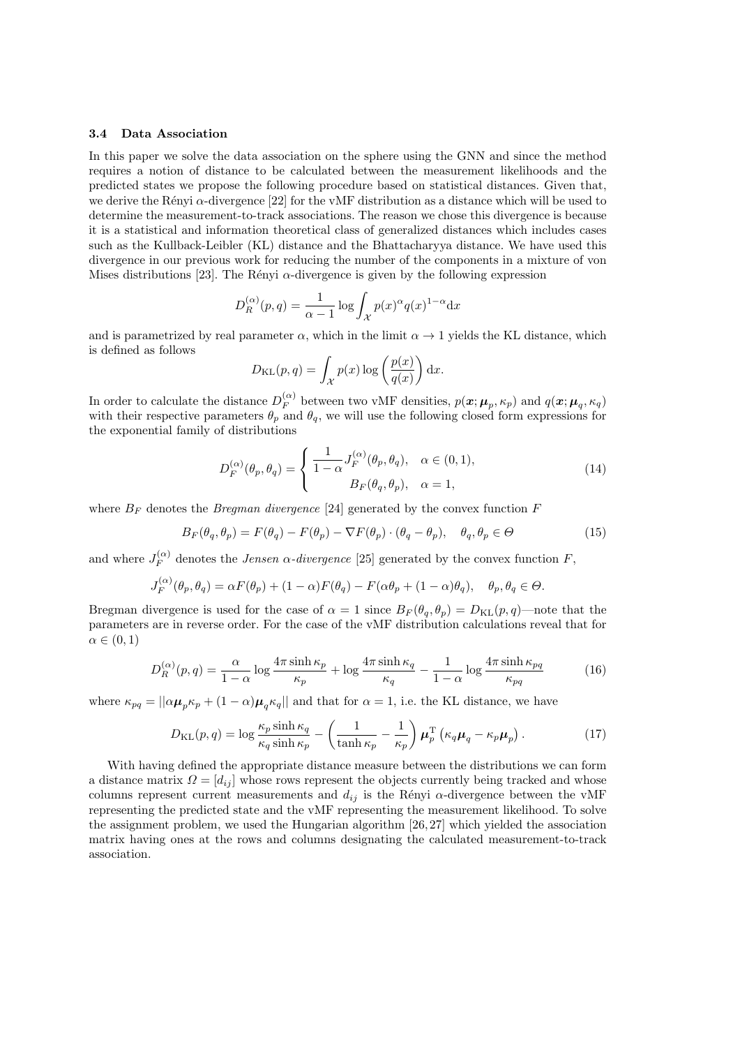#### 3.4 Data Association

In this paper we solve the data association on the sphere using the GNN and since the method requires a notion of distance to be calculated between the measurement likelihoods and the predicted states we propose the following procedure based on statistical distances. Given that, we derive the Rényi  $\alpha$ -divergence [22] for the vMF distribution as a distance which will be used to determine the measurement-to-track associations. The reason we chose this divergence is because it is a statistical and information theoretical class of generalized distances which includes cases such as the Kullback-Leibler (KL) distance and the Bhattacharyya distance. We have used this divergence in our previous work for reducing the number of the components in a mixture of von Mises distributions [23]. The Rényi  $\alpha$ -divergence is given by the following expression

$$
D_R^{(\alpha)}(p,q) = \frac{1}{\alpha - 1} \log \int_{\mathcal{X}} p(x)^{\alpha} q(x)^{1 - \alpha} dx
$$

and is parametrized by real parameter  $\alpha$ , which in the limit  $\alpha \to 1$  yields the KL distance, which is defined as follows

$$
D_{\mathrm{KL}}(p,q) = \int_{\mathcal{X}} p(x) \log \left( \frac{p(x)}{q(x)} \right) dx.
$$

In order to calculate the distance  $D_F^{(\alpha)}$  $\mathcal{F}_F^{(\alpha)}$  between two vMF densities,  $p(\boldsymbol{x}; \boldsymbol{\mu}_p, \kappa_p)$  and  $q(\boldsymbol{x}; \boldsymbol{\mu}_q, \kappa_q)$ with their respective parameters  $\theta_p$  and  $\theta_q$ , we will use the following closed form expressions for the exponential family of distributions

$$
D_F^{(\alpha)}(\theta_p, \theta_q) = \begin{cases} \frac{1}{1-\alpha} J_F^{(\alpha)}(\theta_p, \theta_q), & \alpha \in (0,1), \\ B_F(\theta_q, \theta_p), & \alpha = 1, \end{cases}
$$
(14)

where  $B_F$  denotes the *Bregman divergence* [24] generated by the convex function F

$$
B_F(\theta_q, \theta_p) = F(\theta_q) - F(\theta_p) - \nabla F(\theta_p) \cdot (\theta_q - \theta_p), \quad \theta_q, \theta_p \in \Theta
$$
\n(15)

and where  $J_F^{(\alpha)}$  $F_F^{(\alpha)}$  denotes the *Jensen*  $\alpha$ *-divergence* [25] generated by the convex function F,

$$
J_F^{(\alpha)}(\theta_p, \theta_q) = \alpha F(\theta_p) + (1 - \alpha)F(\theta_q) - F(\alpha \theta_p + (1 - \alpha)\theta_q), \quad \theta_p, \theta_q \in \Theta.
$$

Bregman divergence is used for the case of  $\alpha = 1$  since  $B_F(\theta_a, \theta_n) = D_{\text{KL}}(p, q)$ —note that the parameters are in reverse order. For the case of the vMF distribution calculations reveal that for  $\alpha \in (0,1)$ 

$$
D_R^{(\alpha)}(p,q) = \frac{\alpha}{1-\alpha} \log \frac{4\pi \sinh \kappa_p}{\kappa_p} + \log \frac{4\pi \sinh \kappa_q}{\kappa_q} - \frac{1}{1-\alpha} \log \frac{4\pi \sinh \kappa_{pq}}{\kappa_{pq}} \tag{16}
$$

where  $\kappa_{pq} = ||\alpha \mu_p \kappa_p + (1 - \alpha) \mu_q \kappa_q||$  and that for  $\alpha = 1$ , i.e. the KL distance, we have

$$
D_{\text{KL}}(p,q) = \log \frac{\kappa_p \sinh \kappa_q}{\kappa_q \sinh \kappa_p} - \left(\frac{1}{\tanh \kappa_p} - \frac{1}{\kappa_p}\right) \mu_p^{\text{T}} \left(\kappa_q \mu_q - \kappa_p \mu_p\right). \tag{17}
$$

With having defined the appropriate distance measure between the distributions we can form a distance matrix  $\Omega = [d_{ij}]$  whose rows represent the objects currently being tracked and whose columns represent current measurements and  $d_{ij}$  is the Rényi  $\alpha$ -divergence between the vMF representing the predicted state and the vMF representing the measurement likelihood. To solve the assignment problem, we used the Hungarian algorithm [26, 27] which yielded the association matrix having ones at the rows and columns designating the calculated measurement-to-track association.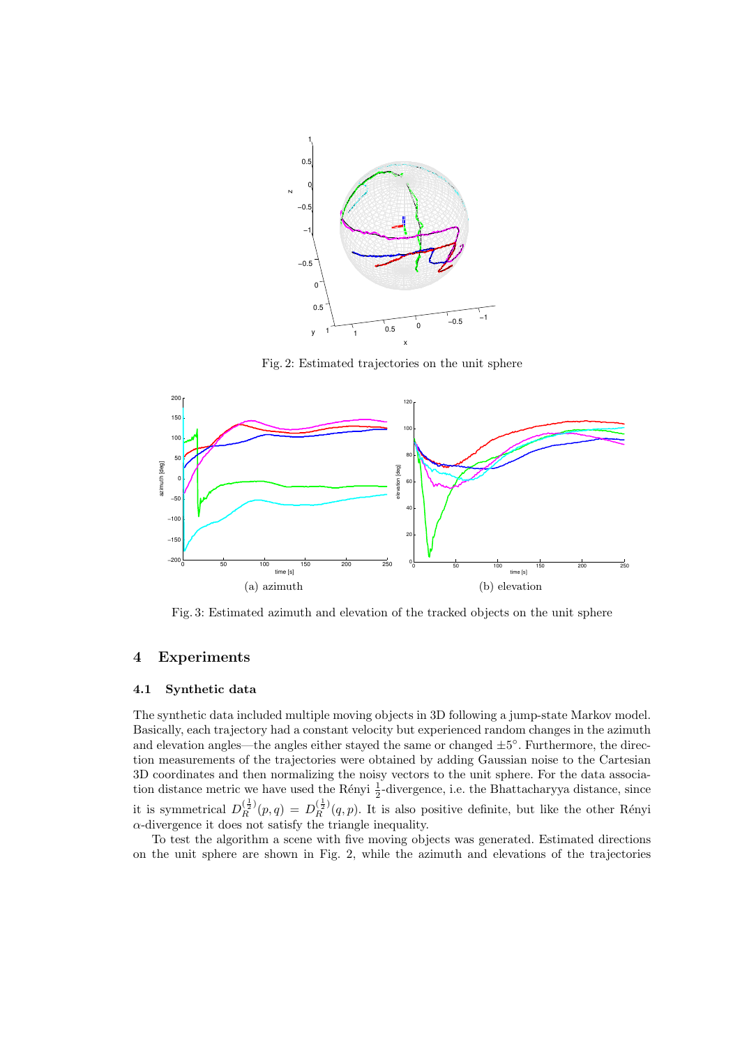

Fig. 2: Estimated trajectories on the unit sphere



Fig. 3: Estimated azimuth and elevation of the tracked objects on the unit sphere

## 4 Experiments

## 4.1 Synthetic data

The synthetic data included multiple moving objects in 3D following a jump-state Markov model. Basically, each trajectory had a constant velocity but experienced random changes in the azimuth and elevation angles—the angles either stayed the same or changed  $\pm 5^{\circ}$ . Furthermore, the direction measurements of the trajectories were obtained by adding Gaussian noise to the Cartesian 3D coordinates and then normalizing the noisy vectors to the unit sphere. For the data association distance metric we have used the Rényi  $\frac{1}{2}$ -divergence, i.e. the Bhattacharyya distance, since it is symmetrical  $D_R^{(\frac{1}{2})}(p,q) = D_R^{(\frac{1}{2})}(q,p)$ . It is also positive definite, but like the other Rényi  $\alpha$ -divergence it does not satisfy the triangle inequality.

To test the algorithm a scene with five moving objects was generated. Estimated directions on the unit sphere are shown in Fig. 2, while the azimuth and elevations of the trajectories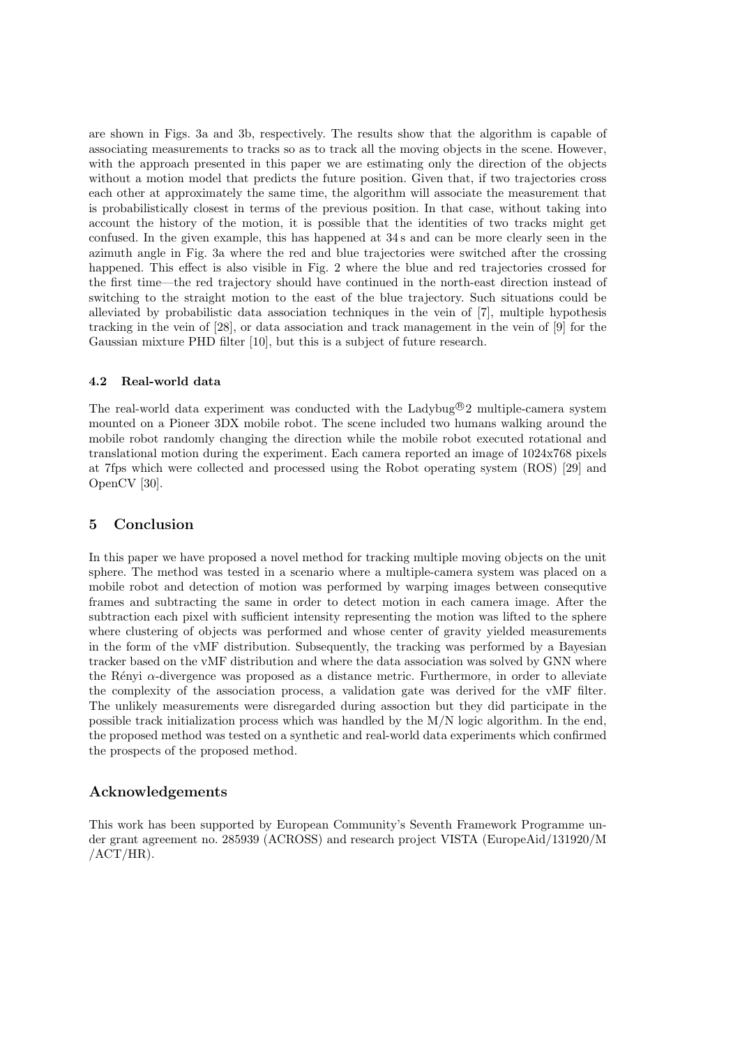are shown in Figs. 3a and 3b, respectively. The results show that the algorithm is capable of associating measurements to tracks so as to track all the moving objects in the scene. However, with the approach presented in this paper we are estimating only the direction of the objects without a motion model that predicts the future position. Given that, if two trajectories cross each other at approximately the same time, the algorithm will associate the measurement that is probabilistically closest in terms of the previous position. In that case, without taking into account the history of the motion, it is possible that the identities of two tracks might get confused. In the given example, this has happened at 34 s and can be more clearly seen in the azimuth angle in Fig. 3a where the red and blue trajectories were switched after the crossing happened. This effect is also visible in Fig. 2 where the blue and red trajectories crossed for the first time—the red trajectory should have continued in the north-east direction instead of switching to the straight motion to the east of the blue trajectory. Such situations could be alleviated by probabilistic data association techniques in the vein of [7], multiple hypothesis tracking in the vein of [28], or data association and track management in the vein of [9] for the Gaussian mixture PHD filter [10], but this is a subject of future research.

## 4.2 Real-world data

The real-world data experiment was conducted with the Ladybug<sup>®</sup>2 multiple-camera system mounted on a Pioneer 3DX mobile robot. The scene included two humans walking around the mobile robot randomly changing the direction while the mobile robot executed rotational and translational motion during the experiment. Each camera reported an image of 1024x768 pixels at 7fps which were collected and processed using the Robot operating system (ROS) [29] and OpenCV [30].

# 5 Conclusion

In this paper we have proposed a novel method for tracking multiple moving objects on the unit sphere. The method was tested in a scenario where a multiple-camera system was placed on a mobile robot and detection of motion was performed by warping images between consequtive frames and subtracting the same in order to detect motion in each camera image. After the subtraction each pixel with sufficient intensity representing the motion was lifted to the sphere where clustering of objects was performed and whose center of gravity yielded measurements in the form of the vMF distribution. Subsequently, the tracking was performed by a Bayesian tracker based on the vMF distribution and where the data association was solved by GNN where the Rényi  $\alpha$ -divergence was proposed as a distance metric. Furthermore, in order to alleviate the complexity of the association process, a validation gate was derived for the vMF filter. The unlikely measurements were disregarded during assoction but they did participate in the possible track initialization process which was handled by the M/N logic algorithm. In the end, the proposed method was tested on a synthetic and real-world data experiments which confirmed the prospects of the proposed method.

## Acknowledgements

This work has been supported by European Community's Seventh Framework Programme under grant agreement no. 285939 (ACROSS) and research project VISTA (EuropeAid/131920/M  $/ACT/HR$ ).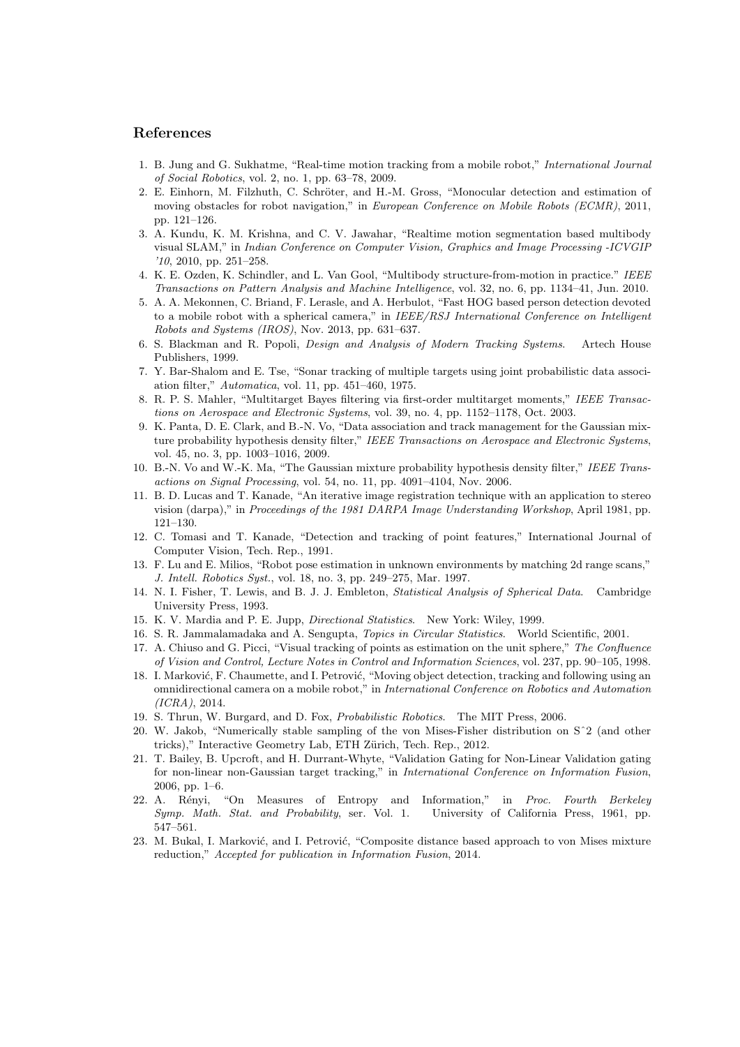## References

- 1. B. Jung and G. Sukhatme, "Real-time motion tracking from a mobile robot," International Journal of Social Robotics, vol. 2, no. 1, pp. 63–78, 2009.
- 2. E. Einhorn, M. Filzhuth, C. Schröter, and H.-M. Gross, "Monocular detection and estimation of moving obstacles for robot navigation," in *European Conference on Mobile Robots (ECMR)*, 2011, pp. 121–126.
- 3. A. Kundu, K. M. Krishna, and C. V. Jawahar, "Realtime motion segmentation based multibody visual SLAM," in Indian Conference on Computer Vision, Graphics and Image Processing -ICVGIP '10, 2010, pp. 251–258.
- 4. K. E. Ozden, K. Schindler, and L. Van Gool, "Multibody structure-from-motion in practice." IEEE Transactions on Pattern Analysis and Machine Intelligence, vol. 32, no. 6, pp. 1134–41, Jun. 2010.
- 5. A. A. Mekonnen, C. Briand, F. Lerasle, and A. Herbulot, "Fast HOG based person detection devoted to a mobile robot with a spherical camera," in IEEE/RSJ International Conference on Intelligent Robots and Systems (IROS), Nov. 2013, pp. 631–637.
- 6. S. Blackman and R. Popoli, Design and Analysis of Modern Tracking Systems. Artech House Publishers, 1999.
- 7. Y. Bar-Shalom and E. Tse, "Sonar tracking of multiple targets using joint probabilistic data association filter," Automatica, vol. 11, pp. 451–460, 1975.
- 8. R. P. S. Mahler, "Multitarget Bayes filtering via first-order multitarget moments," IEEE Transactions on Aerospace and Electronic Systems, vol. 39, no. 4, pp. 1152–1178, Oct. 2003.
- 9. K. Panta, D. E. Clark, and B.-N. Vo, "Data association and track management for the Gaussian mixture probability hypothesis density filter," IEEE Transactions on Aerospace and Electronic Systems, vol. 45, no. 3, pp. 1003–1016, 2009.
- 10. B.-N. Vo and W.-K. Ma, "The Gaussian mixture probability hypothesis density filter," IEEE Transactions on Signal Processing, vol. 54, no. 11, pp. 4091–4104, Nov. 2006.
- 11. B. D. Lucas and T. Kanade, "An iterative image registration technique with an application to stereo vision (darpa)," in Proceedings of the 1981 DARPA Image Understanding Workshop, April 1981, pp. 121–130.
- 12. C. Tomasi and T. Kanade, "Detection and tracking of point features," International Journal of Computer Vision, Tech. Rep., 1991.
- 13. F. Lu and E. Milios, "Robot pose estimation in unknown environments by matching 2d range scans," J. Intell. Robotics Syst., vol. 18, no. 3, pp. 249–275, Mar. 1997.
- 14. N. I. Fisher, T. Lewis, and B. J. J. Embleton, Statistical Analysis of Spherical Data. Cambridge University Press, 1993.
- 15. K. V. Mardia and P. E. Jupp, Directional Statistics. New York: Wiley, 1999.
- 16. S. R. Jammalamadaka and A. Sengupta, Topics in Circular Statistics. World Scientific, 2001.
- 17. A. Chiuso and G. Picci, "Visual tracking of points as estimation on the unit sphere," The Confluence of Vision and Control, Lecture Notes in Control and Information Sciences, vol. 237, pp. 90–105, 1998.
- 18. I. Marković, F. Chaumette, and I. Petrović, "Moving object detection, tracking and following using an omnidirectional camera on a mobile robot," in International Conference on Robotics and Automation (ICRA), 2014.
- 19. S. Thrun, W. Burgard, and D. Fox, Probabilistic Robotics. The MIT Press, 2006.
- 20. W. Jakob, "Numerically stable sampling of the von Mises-Fisher distribution on Sˆ2 (and other tricks)," Interactive Geometry Lab, ETH Zürich, Tech. Rep., 2012.
- 21. T. Bailey, B. Upcroft, and H. Durrant-Whyte, "Validation Gating for Non-Linear Validation gating for non-linear non-Gaussian target tracking," in International Conference on Information Fusion, 2006, pp. 1–6.
- 22. A. Rényi, "On Measures of Entropy and Information," in Proc. Fourth Berkeley Symp. Math. Stat. and Probability, ser. Vol. 1. University of California Press, 1961, pp. 547–561.
- 23. M. Bukal, I. Marković, and I. Petrović, "Composite distance based approach to von Mises mixture reduction," Accepted for publication in Information Fusion, 2014.